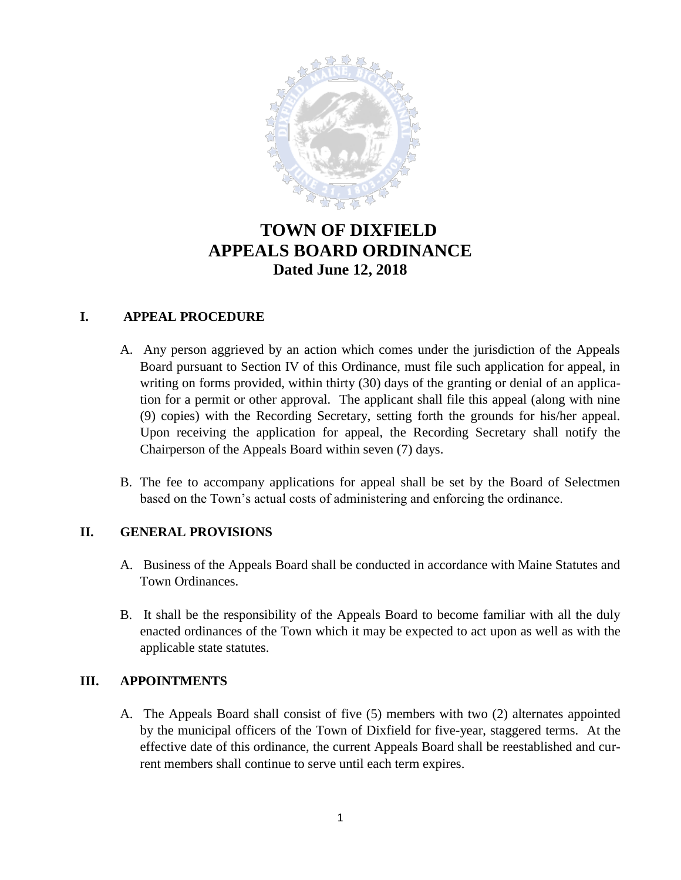

# **TOWN OF DIXFIELD APPEALS BOARD ORDINANCE Dated June 12, 2018**

## **I. APPEAL PROCEDURE**

- A. Any person aggrieved by an action which comes under the jurisdiction of the Appeals Board pursuant to Section IV of this Ordinance, must file such application for appeal, in writing on forms provided, within thirty (30) days of the granting or denial of an application for a permit or other approval. The applicant shall file this appeal (along with nine (9) copies) with the Recording Secretary, setting forth the grounds for his/her appeal. Upon receiving the application for appeal, the Recording Secretary shall notify the Chairperson of the Appeals Board within seven (7) days.
- B. The fee to accompany applications for appeal shall be set by the Board of Selectmen based on the Town's actual costs of administering and enforcing the ordinance.

## **II. GENERAL PROVISIONS**

- A. Business of the Appeals Board shall be conducted in accordance with Maine Statutes and Town Ordinances.
- B. It shall be the responsibility of the Appeals Board to become familiar with all the duly enacted ordinances of the Town which it may be expected to act upon as well as with the applicable state statutes.

## **III. APPOINTMENTS**

A. The Appeals Board shall consist of five (5) members with two (2) alternates appointed by the municipal officers of the Town of Dixfield for five-year, staggered terms. At the effective date of this ordinance, the current Appeals Board shall be reestablished and current members shall continue to serve until each term expires.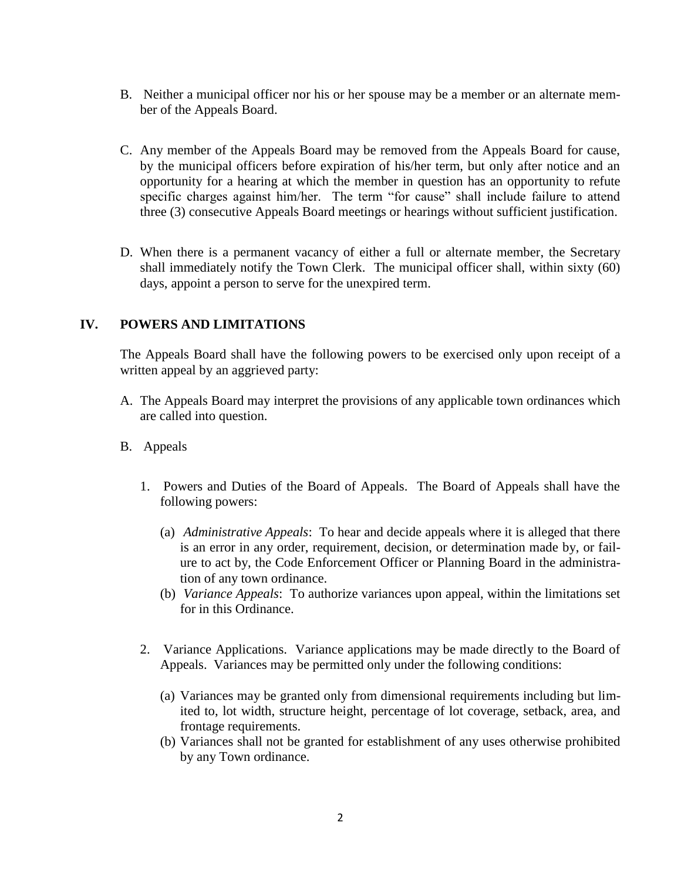- B. Neither a municipal officer nor his or her spouse may be a member or an alternate member of the Appeals Board.
- C. Any member of the Appeals Board may be removed from the Appeals Board for cause, by the municipal officers before expiration of his/her term, but only after notice and an opportunity for a hearing at which the member in question has an opportunity to refute specific charges against him/her. The term "for cause" shall include failure to attend three (3) consecutive Appeals Board meetings or hearings without sufficient justification.
- D. When there is a permanent vacancy of either a full or alternate member, the Secretary shall immediately notify the Town Clerk. The municipal officer shall, within sixty (60) days, appoint a person to serve for the unexpired term.

## **IV. POWERS AND LIMITATIONS**

The Appeals Board shall have the following powers to be exercised only upon receipt of a written appeal by an aggrieved party:

- A. The Appeals Board may interpret the provisions of any applicable town ordinances which are called into question.
- B. Appeals
	- 1. Powers and Duties of the Board of Appeals. The Board of Appeals shall have the following powers:
		- (a) *Administrative Appeals*: To hear and decide appeals where it is alleged that there is an error in any order, requirement, decision, or determination made by, or failure to act by, the Code Enforcement Officer or Planning Board in the administration of any town ordinance.
		- (b) *Variance Appeals*: To authorize variances upon appeal, within the limitations set for in this Ordinance.
	- 2. Variance Applications. Variance applications may be made directly to the Board of Appeals. Variances may be permitted only under the following conditions:
		- (a) Variances may be granted only from dimensional requirements including but limited to, lot width, structure height, percentage of lot coverage, setback, area, and frontage requirements.
		- (b) Variances shall not be granted for establishment of any uses otherwise prohibited by any Town ordinance.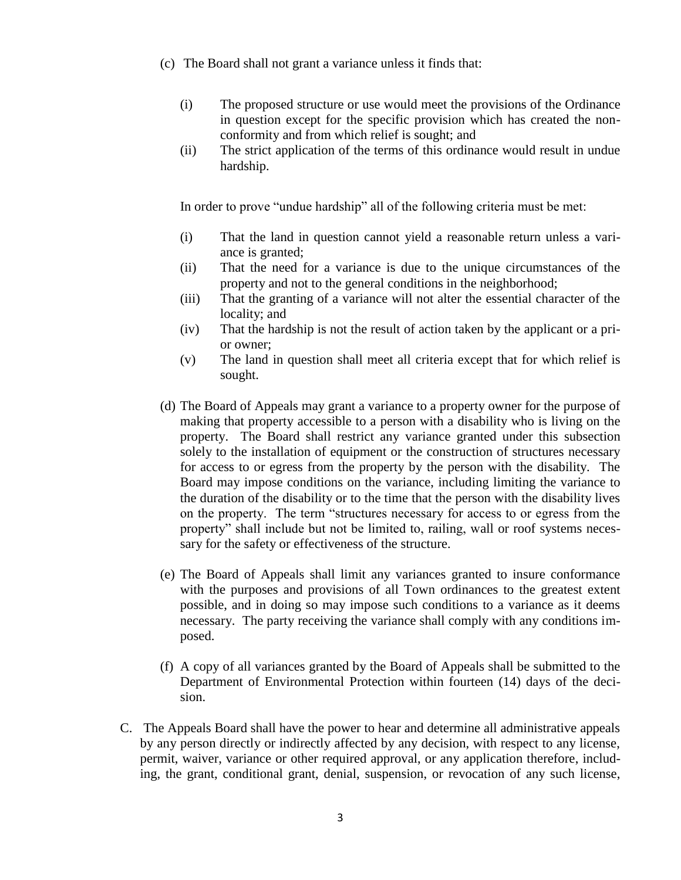- (c) The Board shall not grant a variance unless it finds that:
	- (i) The proposed structure or use would meet the provisions of the Ordinance in question except for the specific provision which has created the nonconformity and from which relief is sought; and
	- (ii) The strict application of the terms of this ordinance would result in undue hardship.

In order to prove "undue hardship" all of the following criteria must be met:

- (i) That the land in question cannot yield a reasonable return unless a variance is granted;
- (ii) That the need for a variance is due to the unique circumstances of the property and not to the general conditions in the neighborhood;
- (iii) That the granting of a variance will not alter the essential character of the locality; and
- (iv) That the hardship is not the result of action taken by the applicant or a prior owner;
- (v) The land in question shall meet all criteria except that for which relief is sought.
- (d) The Board of Appeals may grant a variance to a property owner for the purpose of making that property accessible to a person with a disability who is living on the property. The Board shall restrict any variance granted under this subsection solely to the installation of equipment or the construction of structures necessary for access to or egress from the property by the person with the disability. The Board may impose conditions on the variance, including limiting the variance to the duration of the disability or to the time that the person with the disability lives on the property. The term "structures necessary for access to or egress from the property" shall include but not be limited to, railing, wall or roof systems necessary for the safety or effectiveness of the structure.
- (e) The Board of Appeals shall limit any variances granted to insure conformance with the purposes and provisions of all Town ordinances to the greatest extent possible, and in doing so may impose such conditions to a variance as it deems necessary. The party receiving the variance shall comply with any conditions imposed.
- (f) A copy of all variances granted by the Board of Appeals shall be submitted to the Department of Environmental Protection within fourteen (14) days of the decision.
- C. The Appeals Board shall have the power to hear and determine all administrative appeals by any person directly or indirectly affected by any decision, with respect to any license, permit, waiver, variance or other required approval, or any application therefore, including, the grant, conditional grant, denial, suspension, or revocation of any such license,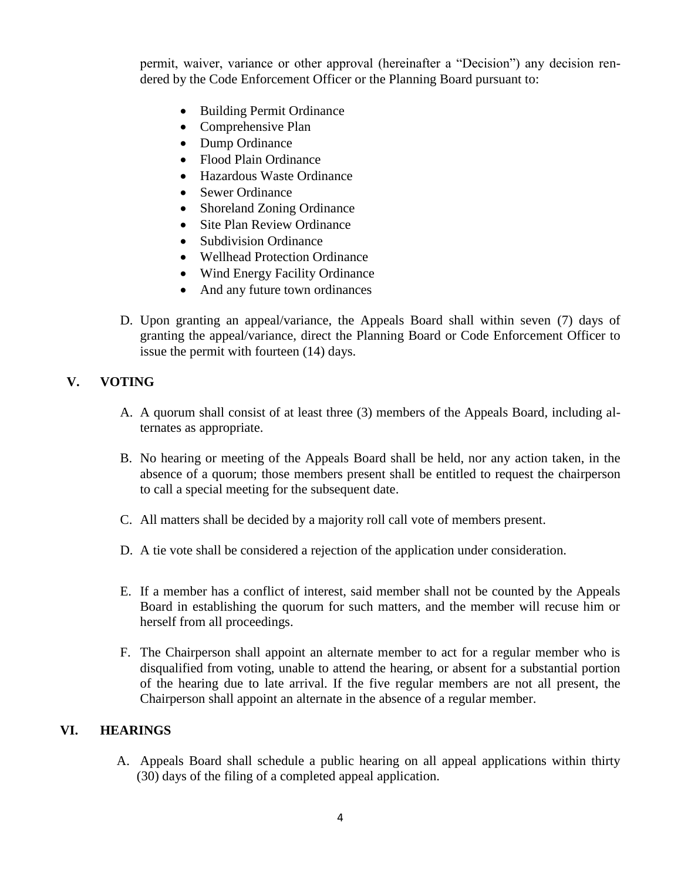permit, waiver, variance or other approval (hereinafter a "Decision") any decision rendered by the Code Enforcement Officer or the Planning Board pursuant to:

- Building Permit Ordinance
- Comprehensive Plan
- Dump Ordinance
- Flood Plain Ordinance
- Hazardous Waste Ordinance
- Sewer Ordinance
- Shoreland Zoning Ordinance
- Site Plan Review Ordinance
- Subdivision Ordinance
- Wellhead Protection Ordinance
- Wind Energy Facility Ordinance
- And any future town ordinances
- D. Upon granting an appeal/variance, the Appeals Board shall within seven (7) days of granting the appeal/variance, direct the Planning Board or Code Enforcement Officer to issue the permit with fourteen (14) days.

## **V. VOTING**

- A. A quorum shall consist of at least three (3) members of the Appeals Board, including alternates as appropriate.
- B. No hearing or meeting of the Appeals Board shall be held, nor any action taken, in the absence of a quorum; those members present shall be entitled to request the chairperson to call a special meeting for the subsequent date.
- C. All matters shall be decided by a majority roll call vote of members present.
- D. A tie vote shall be considered a rejection of the application under consideration.
- E. If a member has a conflict of interest, said member shall not be counted by the Appeals Board in establishing the quorum for such matters, and the member will recuse him or herself from all proceedings.
- F. The Chairperson shall appoint an alternate member to act for a regular member who is disqualified from voting, unable to attend the hearing, or absent for a substantial portion of the hearing due to late arrival. If the five regular members are not all present, the Chairperson shall appoint an alternate in the absence of a regular member.

## **VI. HEARINGS**

A. Appeals Board shall schedule a public hearing on all appeal applications within thirty (30) days of the filing of a completed appeal application.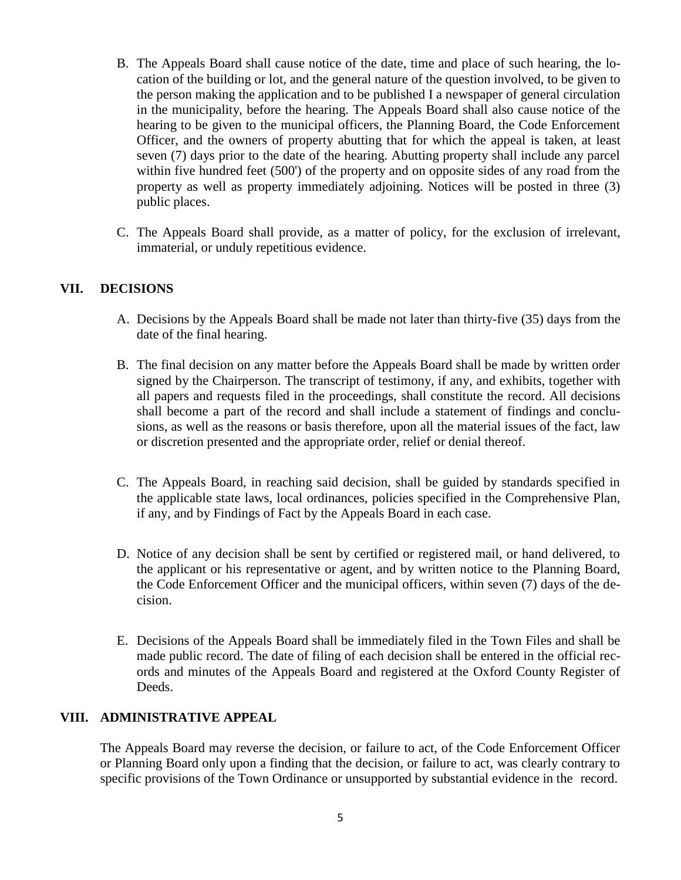- B. The Appeals Board shall cause notice of the date, time and place of such hearing, the location of the building or lot, and the general nature of the question involved, to be given to the person making the application and to be published I a newspaper of general circulation in the municipality, before the hearing. The Appeals Board shall also cause notice of the hearing to be given to the municipal officers, the Planning Board, the Code Enforcement Officer, and the owners of property abutting that for which the appeal is taken, at least seven (7) days prior to the date of the hearing. Abutting property shall include any parcel within five hundred feet (500') of the property and on opposite sides of any road from the property as well as property immediately adjoining. Notices will be posted in three (3) public places.
- C. The Appeals Board shall provide, as a matter of policy, for the exclusion of irrelevant, immaterial, or unduly repetitious evidence.

#### **VII. DECISIONS**

- A. Decisions by the Appeals Board shall be made not later than thirty-five (35) days from the date of the final hearing.
- B. The final decision on any matter before the Appeals Board shall be made by written order signed by the Chairperson. The transcript of testimony, if any, and exhibits, together with all papers and requests filed in the proceedings, shall constitute the record. All decisions shall become a part of the record and shall include a statement of findings and conclusions, as well as the reasons or basis therefore, upon all the material issues of the fact, law or discretion presented and the appropriate order, relief or denial thereof.
- C. The Appeals Board, in reaching said decision, shall be guided by standards specified in the applicable state laws, local ordinances, policies specified in the Comprehensive Plan, if any, and by Findings of Fact by the Appeals Board in each case.
- D. Notice of any decision shall be sent by certified or registered mail, or hand delivered, to the applicant or his representative or agent, and by written notice to the Planning Board, the Code Enforcement Officer and the municipal officers, within seven (7) days of the decision.
- E. Decisions of the Appeals Board shall be immediately filed in the Town Files and shall be made public record. The date of filing of each decision shall be entered in the official records and minutes of the Appeals Board and registered at the Oxford County Register of Deeds.

#### **VIII. ADMINISTRATIVE APPEAL**

The Appeals Board may reverse the decision, or failure to act, of the Code Enforcement Officer or Planning Board only upon a finding that the decision, or failure to act, was clearly contrary to specific provisions of the Town Ordinance or unsupported by substantial evidence in the record.